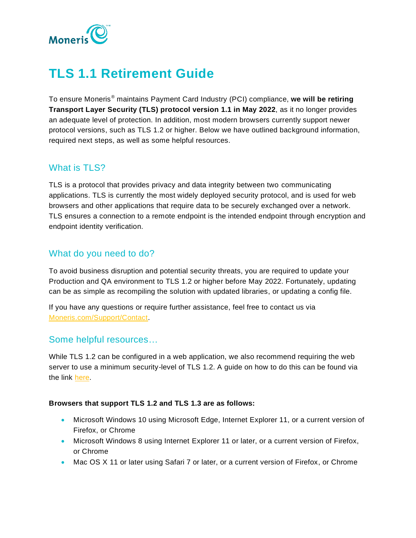

# **TLS 1.1 Retirement Guide**

To ensure Moneris® maintains Payment Card Industry (PCI) compliance, **we will be retiring Transport Layer Security (TLS) protocol version 1.1 in May 2022**, as it no longer provides an adequate level of protection. In addition, most modern browsers currently support newer protocol versions, such as TLS 1.2 or higher. Below we have outlined background information, required next steps, as well as some helpful resources.

## What is TLS?

TLS is a protocol that provides privacy and data integrity between two communicating applications. TLS is currently the most widely deployed security protocol, and is used for web browsers and other applications that require data to be securely exchanged over a network. TLS ensures a connection to a remote endpoint is the intended endpoint through encryption and endpoint identity verification.

# What do you need to do?

To avoid business disruption and potential security threats, you are required to update your Production and QA environment to TLS 1.2 or higher before May 2022. Fortunately, updating can be as simple as recompiling the solution with updated libraries, or updating a config file.

If you have any questions or require further assistance, feel free to contact us via [Moneris.com/Support/Contact.](https://www.moneris.com/support/contact)

## Some helpful resources…

While TLS 1.2 can be configured in a web application, we also recommend requiring the web server to use a minimum security-level of TLS 1.2. A guide on how to do this can be found via the link [here.](https://docs.microsoft.com/en-us/mem/configmgr/core/plan-design/security/enable-tls-1-2)

## **Browsers that support TLS 1.2 and TLS 1.3 are as follows:**

- Microsoft Windows 10 using Microsoft Edge, Internet Explorer 11, or a current version of Firefox, or Chrome
- Microsoft Windows 8 using Internet Explorer 11 or later, or a current version of Firefox, or Chrome
- Mac OS X 11 or later using Safari 7 or later, or a current version of Firefox, or Chrome